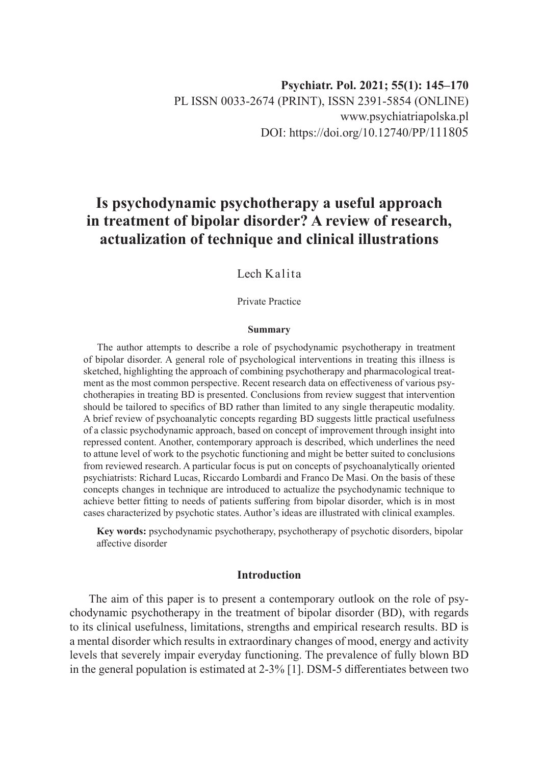# **Is psychodynamic psychotherapy a useful approach in treatment of bipolar disorder? A review of research, actualization of technique and clinical illustrations**

### Lech Kalita

Private Practice

#### **Summary**

The author attempts to describe a role of psychodynamic psychotherapy in treatment of bipolar disorder. A general role of psychological interventions in treating this illness is sketched, highlighting the approach of combining psychotherapy and pharmacological treatment as the most common perspective. Recent research data on effectiveness of various psychotherapies in treating BD is presented. Conclusions from review suggest that intervention should be tailored to specifics of BD rather than limited to any single therapeutic modality. A brief review of psychoanalytic concepts regarding BD suggests little practical usefulness of a classic psychodynamic approach, based on concept of improvement through insight into repressed content. Another, contemporary approach is described, which underlines the need to attune level of work to the psychotic functioning and might be better suited to conclusions from reviewed research. A particular focus is put on concepts of psychoanalytically oriented psychiatrists: Richard Lucas, Riccardo Lombardi and Franco De Masi. On the basis of these concepts changes in technique are introduced to actualize the psychodynamic technique to achieve better fitting to needs of patients suffering from bipolar disorder, which is in most cases characterized by psychotic states. Author's ideas are illustrated with clinical examples.

**Key words:** psychodynamic psychotherapy, psychotherapy of psychotic disorders, bipolar affective disorder

#### **Introduction**

The aim of this paper is to present a contemporary outlook on the role of psychodynamic psychotherapy in the treatment of bipolar disorder (BD), with regards to its clinical usefulness, limitations, strengths and empirical research results. BD is a mental disorder which results in extraordinary changes of mood, energy and activity levels that severely impair everyday functioning. The prevalence of fully blown BD in the general population is estimated at 2-3% [1]. DSM-5 differentiates between two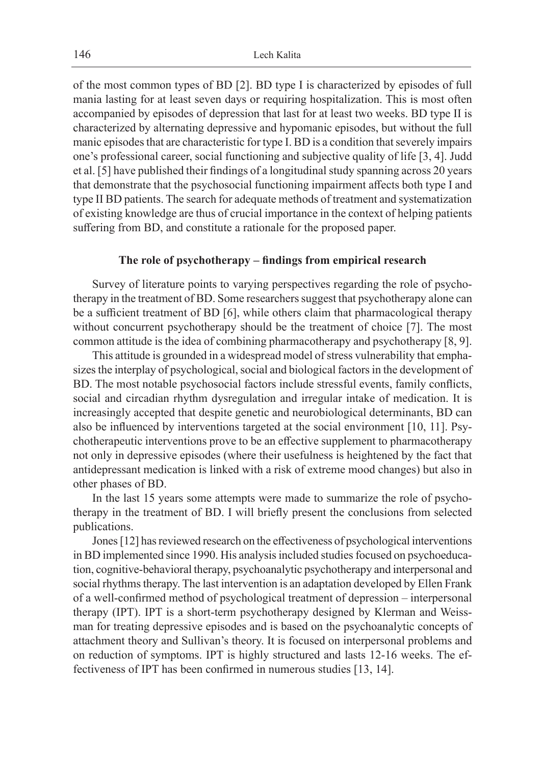of the most common types of BD [2]. BD type I is characterized by episodes of full mania lasting for at least seven days or requiring hospitalization. This is most often accompanied by episodes of depression that last for at least two weeks. BD type II is characterized by alternating depressive and hypomanic episodes, but without the full manic episodes that are characteristic for type I. BD is a condition that severely impairs one's professional career, social functioning and subjective quality of life [3, 4]. Judd et al. [5] have published their findings of a longitudinal study spanning across 20 years that demonstrate that the psychosocial functioning impairment affects both type I and type II BD patients. The search for adequate methods of treatment and systematization of existing knowledge are thus of crucial importance in the context of helping patients suffering from BD, and constitute a rationale for the proposed paper.

#### **The role of psychotherapy – findings from empirical research**

Survey of literature points to varying perspectives regarding the role of psychotherapy in the treatment of BD. Some researchers suggest that psychotherapy alone can be a sufficient treatment of BD [6], while others claim that pharmacological therapy without concurrent psychotherapy should be the treatment of choice [7]. The most common attitude is the idea of combining pharmacotherapy and psychotherapy [8, 9].

This attitude is grounded in a widespread model of stress vulnerability that emphasizes the interplay of psychological, social and biological factors in the development of BD. The most notable psychosocial factors include stressful events, family conflicts, social and circadian rhythm dysregulation and irregular intake of medication. It is increasingly accepted that despite genetic and neurobiological determinants, BD can also be influenced by interventions targeted at the social environment [10, 11]. Psychotherapeutic interventions prove to be an effective supplement to pharmacotherapy not only in depressive episodes (where their usefulness is heightened by the fact that antidepressant medication is linked with a risk of extreme mood changes) but also in other phases of BD.

In the last 15 years some attempts were made to summarize the role of psychotherapy in the treatment of BD. I will briefly present the conclusions from selected publications.

Jones [12] has reviewed research on the effectiveness of psychological interventions in BD implemented since 1990. His analysis included studies focused on psychoeducation, cognitive-behavioral therapy, psychoanalytic psychotherapy and interpersonal and social rhythms therapy. The last intervention is an adaptation developed by Ellen Frank of a well-confirmed method of psychological treatment of depression – interpersonal therapy (IPT). IPT is a short-term psychotherapy designed by Klerman and Weissman for treating depressive episodes and is based on the psychoanalytic concepts of attachment theory and Sullivan's theory. It is focused on interpersonal problems and on reduction of symptoms. IPT is highly structured and lasts 12-16 weeks. The effectiveness of IPT has been confirmed in numerous studies [13, 14].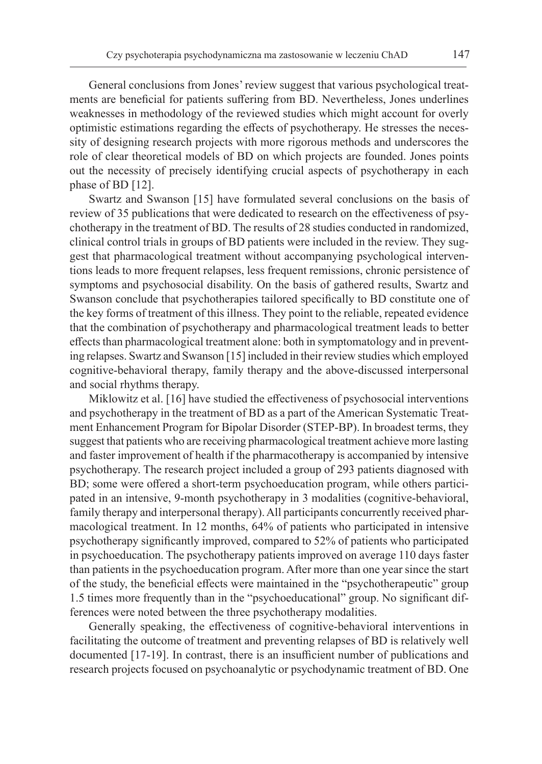General conclusions from Jones' review suggest that various psychological treatments are beneficial for patients suffering from BD. Nevertheless, Jones underlines weaknesses in methodology of the reviewed studies which might account for overly optimistic estimations regarding the effects of psychotherapy. He stresses the necessity of designing research projects with more rigorous methods and underscores the role of clear theoretical models of BD on which projects are founded. Jones points out the necessity of precisely identifying crucial aspects of psychotherapy in each phase of BD [12].

Swartz and Swanson [15] have formulated several conclusions on the basis of review of 35 publications that were dedicated to research on the effectiveness of psychotherapy in the treatment of BD. The results of 28 studies conducted in randomized, clinical control trials in groups of BD patients were included in the review. They suggest that pharmacological treatment without accompanying psychological interventions leads to more frequent relapses, less frequent remissions, chronic persistence of symptoms and psychosocial disability. On the basis of gathered results, Swartz and Swanson conclude that psychotherapies tailored specifically to BD constitute one of the key forms of treatment of this illness. They point to the reliable, repeated evidence that the combination of psychotherapy and pharmacological treatment leads to better effects than pharmacological treatment alone: both in symptomatology and in preventing relapses. Swartz and Swanson [15] included in their review studies which employed cognitive-behavioral therapy, family therapy and the above-discussed interpersonal and social rhythms therapy.

Miklowitz et al. [16] have studied the effectiveness of psychosocial interventions and psychotherapy in the treatment of BD as a part of the American Systematic Treatment Enhancement Program for Bipolar Disorder (STEP-BP). In broadest terms, they suggest that patients who are receiving pharmacological treatment achieve more lasting and faster improvement of health if the pharmacotherapy is accompanied by intensive psychotherapy. The research project included a group of 293 patients diagnosed with BD; some were offered a short-term psychoeducation program, while others participated in an intensive, 9-month psychotherapy in 3 modalities (cognitive-behavioral, family therapy and interpersonal therapy). All participants concurrently received pharmacological treatment. In 12 months, 64% of patients who participated in intensive psychotherapy significantly improved, compared to 52% of patients who participated in psychoeducation. The psychotherapy patients improved on average 110 days faster than patients in the psychoeducation program. After more than one year since the start of the study, the beneficial effects were maintained in the "psychotherapeutic" group 1.5 times more frequently than in the "psychoeducational" group. No significant differences were noted between the three psychotherapy modalities.

Generally speaking, the effectiveness of cognitive-behavioral interventions in facilitating the outcome of treatment and preventing relapses of BD is relatively well documented [17-19]. In contrast, there is an insufficient number of publications and research projects focused on psychoanalytic or psychodynamic treatment of BD. One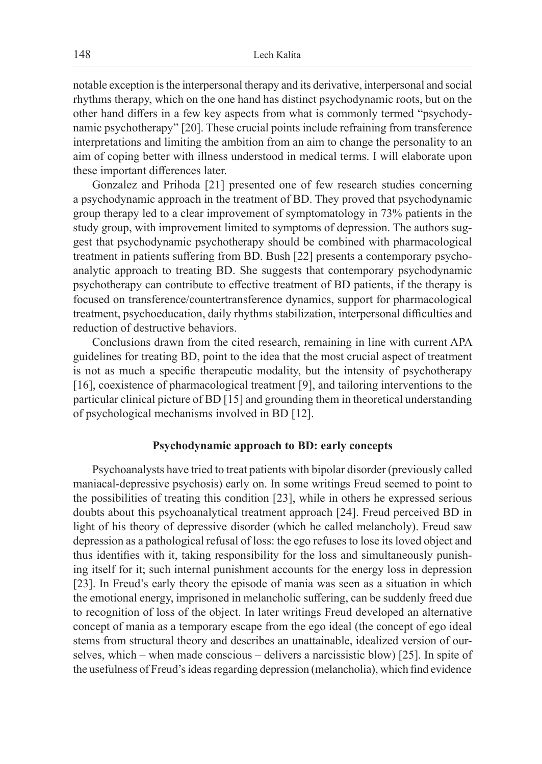notable exception is the interpersonal therapy and its derivative, interpersonal and social rhythms therapy, which on the one hand has distinct psychodynamic roots, but on the other hand differs in a few key aspects from what is commonly termed "psychodynamic psychotherapy" [20]. These crucial points include refraining from transference interpretations and limiting the ambition from an aim to change the personality to an aim of coping better with illness understood in medical terms. I will elaborate upon these important differences later.

Gonzalez and Prihoda [21] presented one of few research studies concerning a psychodynamic approach in the treatment of BD. They proved that psychodynamic group therapy led to a clear improvement of symptomatology in 73% patients in the study group, with improvement limited to symptoms of depression. The authors suggest that psychodynamic psychotherapy should be combined with pharmacological treatment in patients suffering from BD. Bush [22] presents a contemporary psychoanalytic approach to treating BD. She suggests that contemporary psychodynamic psychotherapy can contribute to effective treatment of BD patients, if the therapy is focused on transference/countertransference dynamics, support for pharmacological treatment, psychoeducation, daily rhythms stabilization, interpersonal difficulties and reduction of destructive behaviors.

Conclusions drawn from the cited research, remaining in line with current APA guidelines for treating BD, point to the idea that the most crucial aspect of treatment is not as much a specific therapeutic modality, but the intensity of psychotherapy [16], coexistence of pharmacological treatment [9], and tailoring interventions to the particular clinical picture of BD [15] and grounding them in theoretical understanding of psychological mechanisms involved in BD [12].

#### **Psychodynamic approach to BD: early concepts**

Psychoanalysts have tried to treat patients with bipolar disorder (previously called maniacal-depressive psychosis) early on. In some writings Freud seemed to point to the possibilities of treating this condition [23], while in others he expressed serious doubts about this psychoanalytical treatment approach [24]. Freud perceived BD in light of his theory of depressive disorder (which he called melancholy). Freud saw depression as a pathological refusal of loss: the ego refuses to lose its loved object and thus identifies with it, taking responsibility for the loss and simultaneously punishing itself for it; such internal punishment accounts for the energy loss in depression [23]. In Freud's early theory the episode of mania was seen as a situation in which the emotional energy, imprisoned in melancholic suffering, can be suddenly freed due to recognition of loss of the object. In later writings Freud developed an alternative concept of mania as a temporary escape from the ego ideal (the concept of ego ideal stems from structural theory and describes an unattainable, idealized version of ourselves, which – when made conscious – delivers a narcissistic blow) [25]. In spite of the usefulness of Freud's ideas regarding depression (melancholia), which find evidence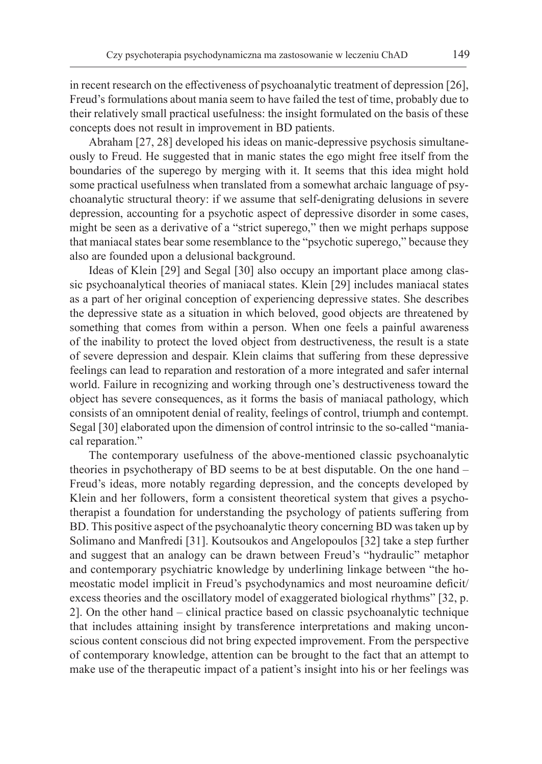in recent research on the effectiveness of psychoanalytic treatment of depression [26], Freud's formulations about mania seem to have failed the test of time, probably due to their relatively small practical usefulness: the insight formulated on the basis of these concepts does not result in improvement in BD patients.

Abraham [27, 28] developed his ideas on manic-depressive psychosis simultaneously to Freud. He suggested that in manic states the ego might free itself from the boundaries of the superego by merging with it. It seems that this idea might hold some practical usefulness when translated from a somewhat archaic language of psychoanalytic structural theory: if we assume that self-denigrating delusions in severe depression, accounting for a psychotic aspect of depressive disorder in some cases, might be seen as a derivative of a "strict superego," then we might perhaps suppose that maniacal states bear some resemblance to the "psychotic superego," because they also are founded upon a delusional background.

Ideas of Klein [29] and Segal [30] also occupy an important place among classic psychoanalytical theories of maniacal states. Klein [29] includes maniacal states as a part of her original conception of experiencing depressive states. She describes the depressive state as a situation in which beloved, good objects are threatened by something that comes from within a person. When one feels a painful awareness of the inability to protect the loved object from destructiveness, the result is a state of severe depression and despair. Klein claims that suffering from these depressive feelings can lead to reparation and restoration of a more integrated and safer internal world. Failure in recognizing and working through one's destructiveness toward the object has severe consequences, as it forms the basis of maniacal pathology, which consists of an omnipotent denial of reality, feelings of control, triumph and contempt. Segal [30] elaborated upon the dimension of control intrinsic to the so-called "maniacal reparation."

The contemporary usefulness of the above-mentioned classic psychoanalytic theories in psychotherapy of BD seems to be at best disputable. On the one hand – Freud's ideas, more notably regarding depression, and the concepts developed by Klein and her followers, form a consistent theoretical system that gives a psychotherapist a foundation for understanding the psychology of patients suffering from BD. This positive aspect of the psychoanalytic theory concerning BD was taken up by Solimano and Manfredi [31]. Koutsoukos and Angelopoulos [32] take a step further and suggest that an analogy can be drawn between Freud's "hydraulic" metaphor and contemporary psychiatric knowledge by underlining linkage between "the homeostatic model implicit in Freud's psychodynamics and most neuroamine deficit/ excess theories and the oscillatory model of exaggerated biological rhythms" [32, p. 2]. On the other hand – clinical practice based on classic psychoanalytic technique that includes attaining insight by transference interpretations and making unconscious content conscious did not bring expected improvement. From the perspective of contemporary knowledge, attention can be brought to the fact that an attempt to make use of the therapeutic impact of a patient's insight into his or her feelings was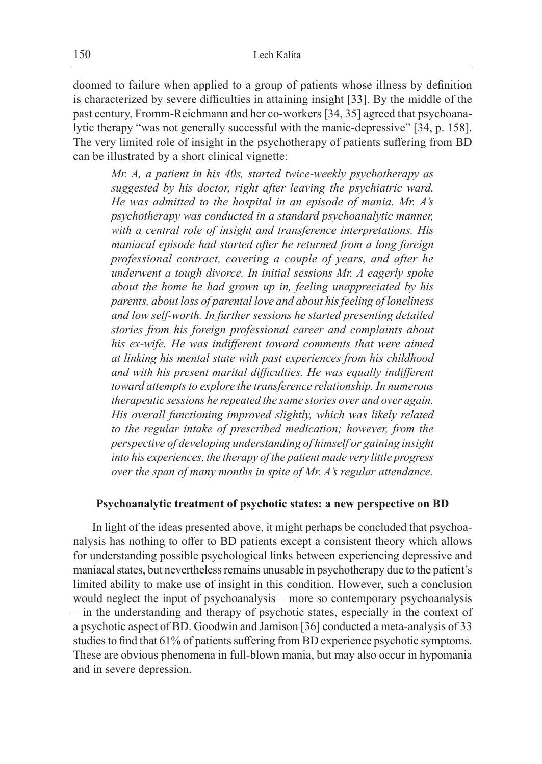doomed to failure when applied to a group of patients whose illness by definition is characterized by severe difficulties in attaining insight [33]. By the middle of the past century, Fromm-Reichmann and her co-workers [34, 35] agreed that psychoanalytic therapy "was not generally successful with the manic-depressive" [34, p. 158]. The very limited role of insight in the psychotherapy of patients suffering from BD can be illustrated by a short clinical vignette:

*Mr. A, a patient in his 40s, started twice-weekly psychotherapy as suggested by his doctor, right after leaving the psychiatric ward. He was admitted to the hospital in an episode of mania. Mr. A's psychotherapy was conducted in a standard psychoanalytic manner, with a central role of insight and transference interpretations. His maniacal episode had started after he returned from a long foreign professional contract, covering a couple of years, and after he underwent a tough divorce. In initial sessions Mr. A eagerly spoke about the home he had grown up in, feeling unappreciated by his parents, about loss of parental love and about his feeling of loneliness and low self-worth. In further sessions he started presenting detailed stories from his foreign professional career and complaints about his ex-wife. He was indifferent toward comments that were aimed at linking his mental state with past experiences from his childhood and with his present marital difficulties. He was equally indifferent toward attempts to explore the transference relationship. In numerous therapeutic sessions he repeated the same stories over and over again. His overall functioning improved slightly, which was likely related to the regular intake of prescribed medication; however, from the perspective of developing understanding of himself or gaining insight into his experiences, the therapy of the patient made very little progress over the span of many months in spite of Mr. A's regular attendance.*

## **Psychoanalytic treatment of psychotic states: a new perspective on BD**

In light of the ideas presented above, it might perhaps be concluded that psychoanalysis has nothing to offer to BD patients except a consistent theory which allows for understanding possible psychological links between experiencing depressive and maniacal states, but nevertheless remains unusable in psychotherapy due to the patient's limited ability to make use of insight in this condition. However, such a conclusion would neglect the input of psychoanalysis – more so contemporary psychoanalysis – in the understanding and therapy of psychotic states, especially in the context of a psychotic aspect of BD. Goodwin and Jamison [36] conducted a meta-analysis of 33 studies to find that 61% of patients suffering from BD experience psychotic symptoms. These are obvious phenomena in full-blown mania, but may also occur in hypomania and in severe depression.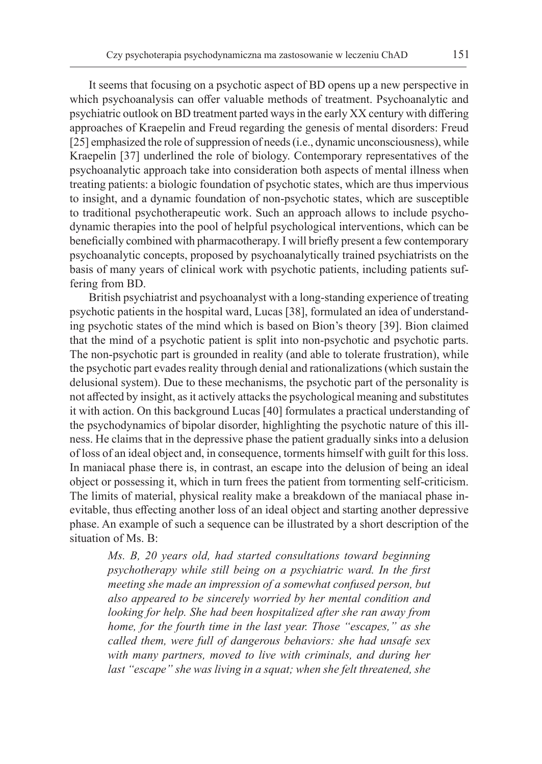It seems that focusing on a psychotic aspect of BD opens up a new perspective in which psychoanalysis can offer valuable methods of treatment. Psychoanalytic and psychiatric outlook on BD treatment parted ways in the early XX century with differing approaches of Kraepelin and Freud regarding the genesis of mental disorders: Freud [25] emphasized the role of suppression of needs (i.e., dynamic unconsciousness), while Kraepelin [37] underlined the role of biology. Contemporary representatives of the psychoanalytic approach take into consideration both aspects of mental illness when treating patients: a biologic foundation of psychotic states, which are thus impervious to insight, and a dynamic foundation of non-psychotic states, which are susceptible to traditional psychotherapeutic work. Such an approach allows to include psychodynamic therapies into the pool of helpful psychological interventions, which can be beneficially combined with pharmacotherapy. I will briefly present a few contemporary psychoanalytic concepts, proposed by psychoanalytically trained psychiatrists on the basis of many years of clinical work with psychotic patients, including patients suffering from BD.

British psychiatrist and psychoanalyst with a long-standing experience of treating psychotic patients in the hospital ward, Lucas [38], formulated an idea of understanding psychotic states of the mind which is based on Bion's theory [39]. Bion claimed that the mind of a psychotic patient is split into non-psychotic and psychotic parts. The non-psychotic part is grounded in reality (and able to tolerate frustration), while the psychotic part evades reality through denial and rationalizations (which sustain the delusional system). Due to these mechanisms, the psychotic part of the personality is not affected by insight, as it actively attacks the psychological meaning and substitutes it with action. On this background Lucas [40] formulates a practical understanding of the psychodynamics of bipolar disorder, highlighting the psychotic nature of this illness. He claims that in the depressive phase the patient gradually sinks into a delusion of loss of an ideal object and, in consequence, torments himself with guilt for this loss. In maniacal phase there is, in contrast, an escape into the delusion of being an ideal object or possessing it, which in turn frees the patient from tormenting self-criticism. The limits of material, physical reality make a breakdown of the maniacal phase inevitable, thus effecting another loss of an ideal object and starting another depressive phase. An example of such a sequence can be illustrated by a short description of the situation of Ms. B:

*Ms. B, 20 years old, had started consultations toward beginning psychotherapy while still being on a psychiatric ward. In the first meeting she made an impression of a somewhat confused person, but also appeared to be sincerely worried by her mental condition and looking for help. She had been hospitalized after she ran away from home, for the fourth time in the last year. Those "escapes," as she called them, were full of dangerous behaviors: she had unsafe sex with many partners, moved to live with criminals, and during her last "escape" she was living in a squat; when she felt threatened, she*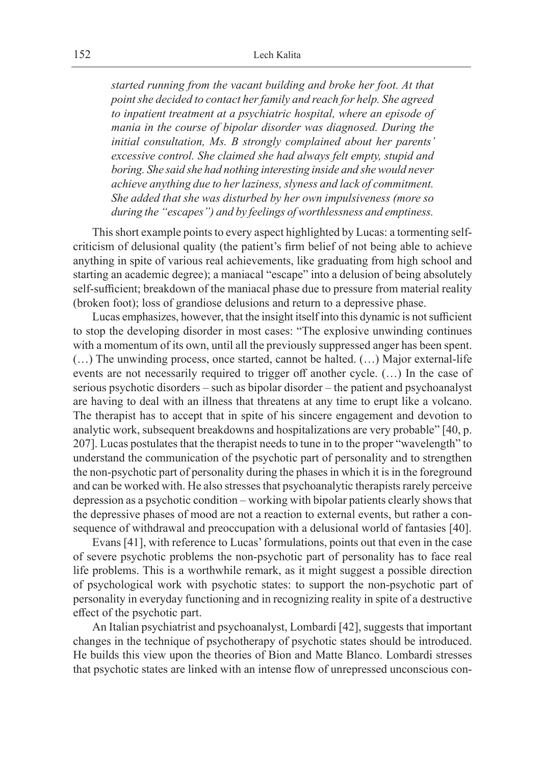*started running from the vacant building and broke her foot. At that point she decided to contact her family and reach for help. She agreed to inpatient treatment at a psychiatric hospital, where an episode of mania in the course of bipolar disorder was diagnosed. During the initial consultation, Ms. B strongly complained about her parents' excessive control. She claimed she had always felt empty, stupid and boring. She said she had nothing interesting inside and she would never achieve anything due to her laziness, slyness and lack of commitment. She added that she was disturbed by her own impulsiveness (more so during the "escapes") and by feelings of worthlessness and emptiness.*

This short example points to every aspect highlighted by Lucas: a tormenting selfcriticism of delusional quality (the patient's firm belief of not being able to achieve anything in spite of various real achievements, like graduating from high school and starting an academic degree); a maniacal "escape" into a delusion of being absolutely self-sufficient; breakdown of the maniacal phase due to pressure from material reality (broken foot); loss of grandiose delusions and return to a depressive phase.

Lucas emphasizes, however, that the insight itself into this dynamic is not sufficient to stop the developing disorder in most cases: "The explosive unwinding continues with a momentum of its own, until all the previously suppressed anger has been spent. (…) The unwinding process, once started, cannot be halted. (…) Major external-life events are not necessarily required to trigger off another cycle. (…) In the case of serious psychotic disorders – such as bipolar disorder – the patient and psychoanalyst are having to deal with an illness that threatens at any time to erupt like a volcano. The therapist has to accept that in spite of his sincere engagement and devotion to analytic work, subsequent breakdowns and hospitalizations are very probable" [40, p. 207]. Lucas postulates that the therapist needs to tune in to the proper "wavelength" to understand the communication of the psychotic part of personality and to strengthen the non-psychotic part of personality during the phases in which it is in the foreground and can be worked with. He also stresses that psychoanalytic therapists rarely perceive depression as a psychotic condition – working with bipolar patients clearly shows that the depressive phases of mood are not a reaction to external events, but rather a consequence of withdrawal and preoccupation with a delusional world of fantasies [40].

Evans [41], with reference to Lucas' formulations, points out that even in the case of severe psychotic problems the non-psychotic part of personality has to face real life problems. This is a worthwhile remark, as it might suggest a possible direction of psychological work with psychotic states: to support the non-psychotic part of personality in everyday functioning and in recognizing reality in spite of a destructive effect of the psychotic part.

An Italian psychiatrist and psychoanalyst, Lombardi [42], suggests that important changes in the technique of psychotherapy of psychotic states should be introduced. He builds this view upon the theories of Bion and Matte Blanco. Lombardi stresses that psychotic states are linked with an intense flow of unrepressed unconscious con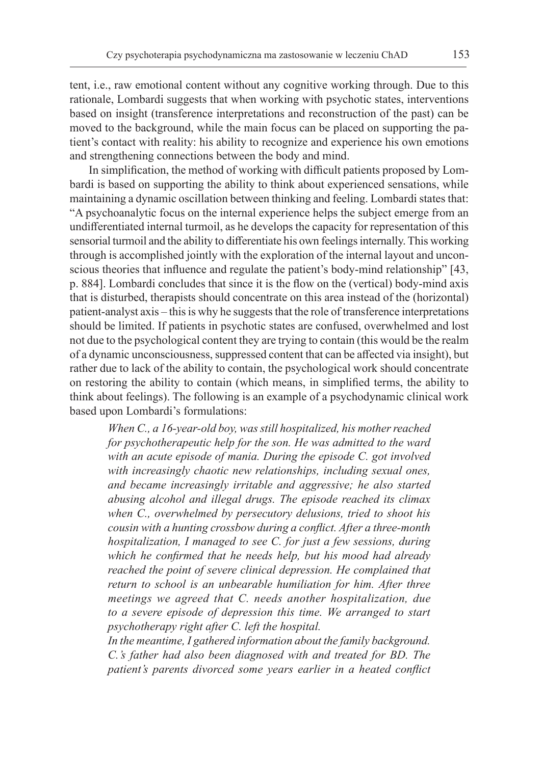tent, i.e., raw emotional content without any cognitive working through. Due to this rationale, Lombardi suggests that when working with psychotic states, interventions based on insight (transference interpretations and reconstruction of the past) can be moved to the background, while the main focus can be placed on supporting the patient's contact with reality: his ability to recognize and experience his own emotions and strengthening connections between the body and mind.

In simplification, the method of working with difficult patients proposed by Lombardi is based on supporting the ability to think about experienced sensations, while maintaining a dynamic oscillation between thinking and feeling. Lombardi states that: "A psychoanalytic focus on the internal experience helps the subject emerge from an undifferentiated internal turmoil, as he develops the capacity for representation of this sensorial turmoil and the ability to differentiate his own feelings internally. This working through is accomplished jointly with the exploration of the internal layout and unconscious theories that influence and regulate the patient's body-mind relationship" [43, p. 884]. Lombardi concludes that since it is the flow on the (vertical) body-mind axis that is disturbed, therapists should concentrate on this area instead of the (horizontal) patient-analyst axis – this is why he suggests that the role of transference interpretations should be limited. If patients in psychotic states are confused, overwhelmed and lost not due to the psychological content they are trying to contain (this would be the realm of a dynamic unconsciousness, suppressed content that can be affected via insight), but rather due to lack of the ability to contain, the psychological work should concentrate on restoring the ability to contain (which means, in simplified terms, the ability to think about feelings). The following is an example of a psychodynamic clinical work based upon Lombardi's formulations:

*When C., a 16-year-old boy, was still hospitalized, his mother reached for psychotherapeutic help for the son. He was admitted to the ward with an acute episode of mania. During the episode C. got involved with increasingly chaotic new relationships, including sexual ones, and became increasingly irritable and aggressive; he also started abusing alcohol and illegal drugs. The episode reached its climax when C., overwhelmed by persecutory delusions, tried to shoot his cousin with a hunting crossbow during a conflict. After a three-month hospitalization, I managed to see C. for just a few sessions, during which he confirmed that he needs help, but his mood had already reached the point of severe clinical depression. He complained that return to school is an unbearable humiliation for him. After three meetings we agreed that C. needs another hospitalization, due to a severe episode of depression this time. We arranged to start psychotherapy right after C. left the hospital.*

*In the meantime, I gathered information about the family background. C.'s father had also been diagnosed with and treated for BD. The patient's parents divorced some years earlier in a heated conflict*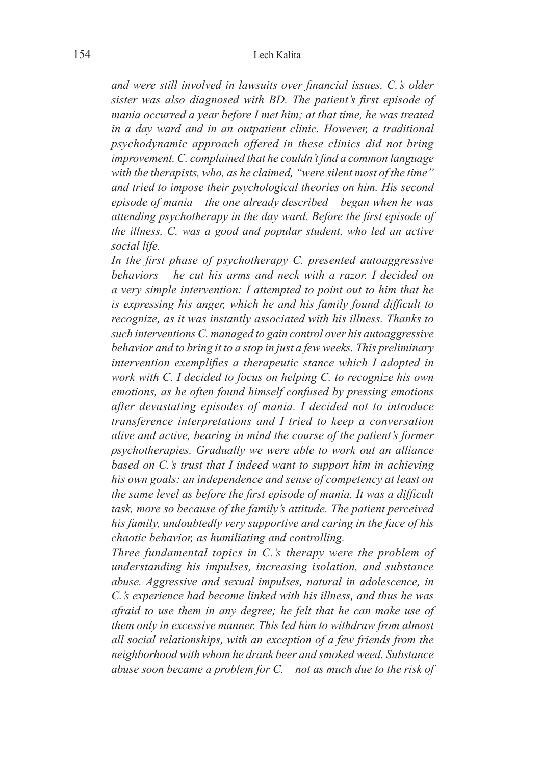*and were still involved in lawsuits over financial issues. C.'s older sister was also diagnosed with BD. The patient's first episode of mania occurred a year before I met him; at that time, he was treated in a day ward and in an outpatient clinic. However, a traditional psychodynamic approach offered in these clinics did not bring improvement. C. complained that he couldn't find a common language with the therapists, who, as he claimed, "were silent most of the time" and tried to impose their psychological theories on him. His second episode of mania – the one already described – began when he was attending psychotherapy in the day ward. Before the first episode of the illness, C. was a good and popular student, who led an active social life.*

*In the first phase of psychotherapy C. presented autoaggressive behaviors – he cut his arms and neck with a razor. I decided on a very simple intervention: I attempted to point out to him that he is expressing his anger, which he and his family found difficult to recognize, as it was instantly associated with his illness. Thanks to such interventions C. managed to gain control over his autoaggressive behavior and to bring it to a stop in just a few weeks. This preliminary intervention exemplifies a therapeutic stance which I adopted in work with C. I decided to focus on helping C. to recognize his own emotions, as he often found himself confused by pressing emotions after devastating episodes of mania. I decided not to introduce transference interpretations and I tried to keep a conversation alive and active, bearing in mind the course of the patient's former psychotherapies. Gradually we were able to work out an alliance based on C.'s trust that I indeed want to support him in achieving his own goals: an independence and sense of competency at least on the same level as before the first episode of mania. It was a difficult task, more so because of the family's attitude. The patient perceived his family, undoubtedly very supportive and caring in the face of his chaotic behavior, as humiliating and controlling.*

*Three fundamental topics in C.'s therapy were the problem of understanding his impulses, increasing isolation, and substance abuse. Aggressive and sexual impulses, natural in adolescence, in C.'s experience had become linked with his illness, and thus he was afraid to use them in any degree; he felt that he can make use of them only in excessive manner. This led him to withdraw from almost all social relationships, with an exception of a few friends from the neighborhood with whom he drank beer and smoked weed. Substance abuse soon became a problem for C. – not as much due to the risk of*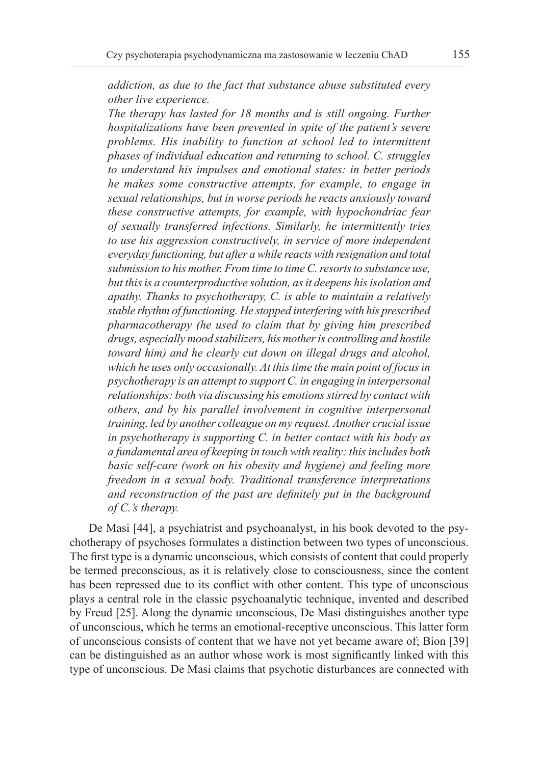*addiction, as due to the fact that substance abuse substituted every other live experience.*

*The therapy has lasted for 18 months and is still ongoing. Further hospitalizations have been prevented in spite of the patient's severe problems. His inability to function at school led to intermittent phases of individual education and returning to school. C. struggles to understand his impulses and emotional states: in better periods he makes some constructive attempts, for example, to engage in sexual relationships, but in worse periods he reacts anxiously toward these constructive attempts, for example, with hypochondriac fear of sexually transferred infections. Similarly, he intermittently tries to use his aggression constructively, in service of more independent everyday functioning, but after awhile reacts with resignation and total submission to his mother. From time to time C. resorts to substance use, but this is a counterproductive solution, as it deepens his isolation and apathy. Thanks to psychotherapy, C. is able to maintain a relatively stable rhythm of functioning. He stopped interfering with his prescribed pharmacotherapy (he used to claim that by giving him prescribed drugs, especially mood stabilizers, his mother is controlling and hostile toward him) and he clearly cut down on illegal drugs and alcohol, which he uses only occasionally. At this time the main point of focus in psychotherapy is an attempt to support C. in engaging in interpersonal relationships: both via discussing his emotions stirred by contact with others, and by his parallel involvement in cognitive interpersonal training, led by another colleague on my request. Another crucial issue in psychotherapy is supporting C. in better contact with his body as a fundamental area of keeping in touch with reality: this includes both basic self-care (work on his obesity and hygiene) and feeling more freedom in a sexual body. Traditional transference interpretations and reconstruction of the past are definitely put in the background of C.'s therapy.*

De Masi [44], a psychiatrist and psychoanalyst, in his book devoted to the psychotherapy of psychoses formulates a distinction between two types of unconscious. The first type is a dynamic unconscious, which consists of content that could properly be termed preconscious, as it is relatively close to consciousness, since the content has been repressed due to its conflict with other content. This type of unconscious plays a central role in the classic psychoanalytic technique, invented and described by Freud [25]. Along the dynamic unconscious, De Masi distinguishes another type of unconscious, which he terms an emotional-receptive unconscious. This latter form of unconscious consists of content that we have not yet became aware of; Bion [39] can be distinguished as an author whose work is most significantly linked with this type of unconscious. De Masi claims that psychotic disturbances are connected with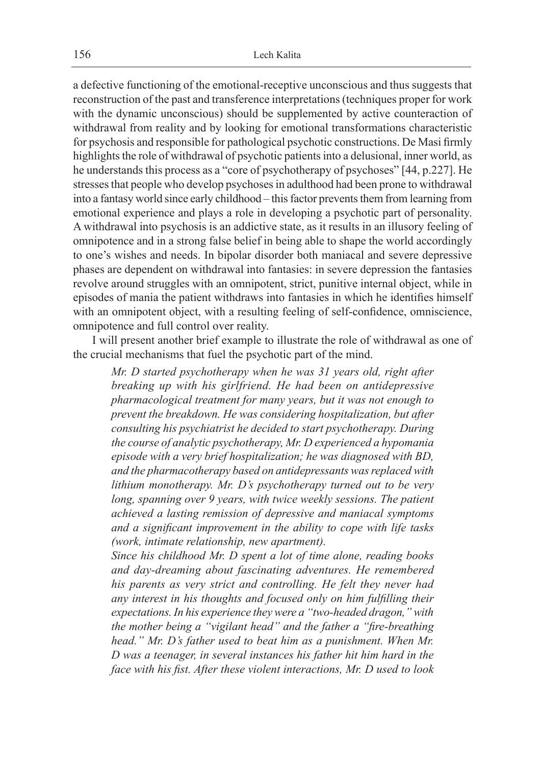a defective functioning of the emotional-receptive unconscious and thus suggests that reconstruction of the past and transference interpretations (techniques proper for work with the dynamic unconscious) should be supplemented by active counteraction of withdrawal from reality and by looking for emotional transformations characteristic for psychosis and responsible for pathological psychotic constructions. De Masi firmly highlights the role of withdrawal of psychotic patients into a delusional, inner world, as he understands this process as a "core of psychotherapy of psychoses" [44, p.227]. He stresses that people who develop psychoses in adulthood had been prone to withdrawal into a fantasy world since early childhood – this factor prevents them from learning from emotional experience and plays a role in developing a psychotic part of personality. A withdrawal into psychosis is an addictive state, as it results in an illusory feeling of omnipotence and in a strong false belief in being able to shape the world accordingly to one's wishes and needs. In bipolar disorder both maniacal and severe depressive phases are dependent on withdrawal into fantasies: in severe depression the fantasies revolve around struggles with an omnipotent, strict, punitive internal object, while in episodes of mania the patient withdraws into fantasies in which he identifies himself with an omnipotent object, with a resulting feeling of self-confidence, omniscience, omnipotence and full control over reality.

I will present another brief example to illustrate the role of withdrawal as one of the crucial mechanisms that fuel the psychotic part of the mind.

*Mr. D started psychotherapy when he was 31 years old, right after breaking up with his girlfriend. He had been on antidepressive pharmacological treatment for many years, but it was not enough to prevent the breakdown. He was considering hospitalization, but after consulting his psychiatrist he decided to start psychotherapy. During the course of analytic psychotherapy, Mr. D experienced a hypomania episode with a very brief hospitalization; he was diagnosed with BD, and the pharmacotherapy based on antidepressants was replaced with lithium monotherapy. Mr. D's psychotherapy turned out to be very*  long, spanning over 9 years, with twice weekly sessions. The patient *achieved a lasting remission of depressive and maniacal symptoms and a significant improvement in the ability to cope with life tasks (work, intimate relationship, new apartment).*

*Since his childhood Mr. D spent a lot of time alone, reading books and day-dreaming about fascinating adventures. He remembered his parents as very strict and controlling. He felt they never had any interest in his thoughts and focused only on him fulfilling their expectations. In his experience they were a "two-headed dragon," with the mother being a "vigilant head" and the father a "fire-breathing head." Mr. D's father used to beat him as a punishment. When Mr. D was a teenager, in several instances his father hit him hard in the face with his fist. After these violent interactions, Mr. D used to look*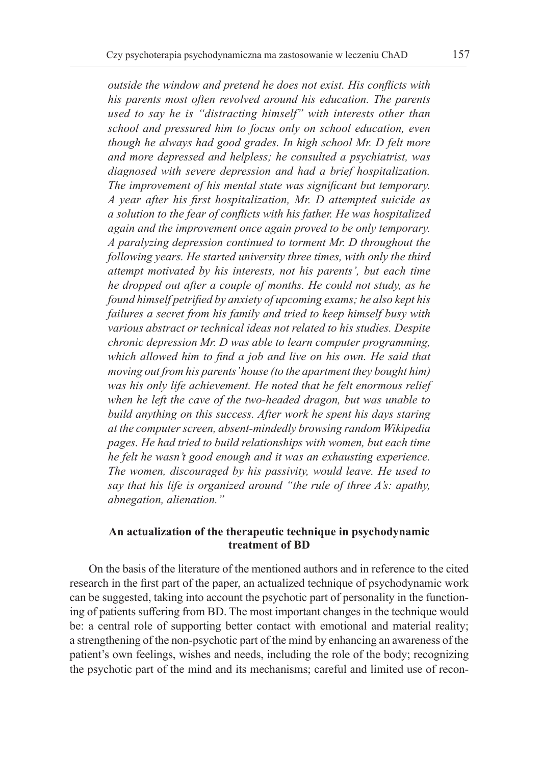*outside the window and pretend he does not exist. His conflicts with his parents most often revolved around his education. The parents used to say he is "distracting himself" with interests other than school and pressured him to focus only on school education, even though he always had good grades. In high school Mr. D felt more and more depressed and helpless; he consulted a psychiatrist, was diagnosed with severe depression and had a brief hospitalization. The improvement of his mental state was significant but temporary. A year after his first hospitalization, Mr. D attempted suicide as a solution to the fear of conflicts with his father. He was hospitalized again and the improvement once again proved to be only temporary. A paralyzing depression continued to torment Mr. D throughout the following years. He started university three times, with only the third attempt motivated by his interests, not his parents', but each time he dropped out after a couple of months. He could not study, as he found himself petrified by anxiety of upcoming exams; he also kept his failures a secret from his family and tried to keep himself busy with various abstract or technical ideas not related to his studies. Despite chronic depression Mr. D was able to learn computer programming, which allowed him to find a job and live on his own. He said that moving out from his parents' house (to the apartment they bought him) was his only life achievement. He noted that he felt enormous relief when he left the cave of the two-headed dragon, but was unable to build anything on this success. After work he spent his days staring at the computer screen, absent-mindedly browsing random Wikipedia pages. He had tried to build relationships with women, but each time he felt he wasn't good enough and it was an exhausting experience. The women, discouraged by his passivity, would leave. He used to say that his life is organized around "the rule of three A's: apathy, abnegation, alienation."*

#### **An actualization of the therapeutic technique in psychodynamic treatment of BD**

On the basis of the literature of the mentioned authors and in reference to the cited research in the first part of the paper, an actualized technique of psychodynamic work can be suggested, taking into account the psychotic part of personality in the functioning of patients suffering from BD. The most important changes in the technique would be: a central role of supporting better contact with emotional and material reality; a strengthening of the non-psychotic part of the mind by enhancing an awareness of the patient's own feelings, wishes and needs, including the role of the body; recognizing the psychotic part of the mind and its mechanisms; careful and limited use of recon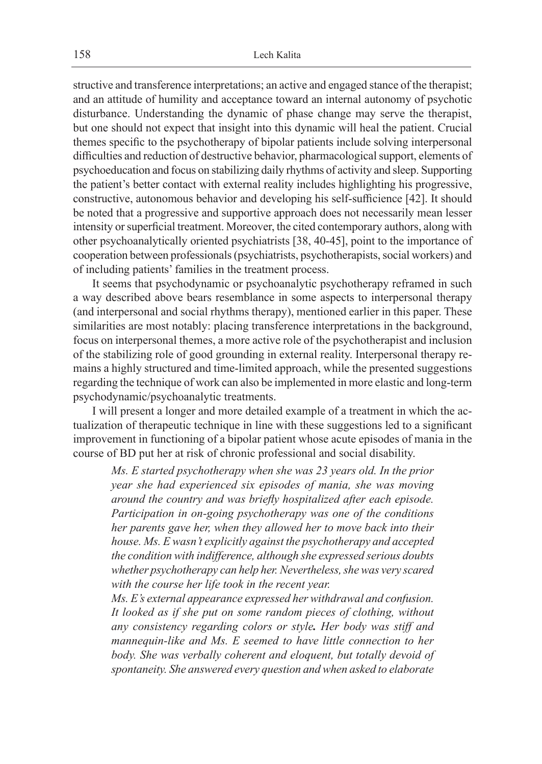structive and transference interpretations; an active and engaged stance of the therapist; and an attitude of humility and acceptance toward an internal autonomy of psychotic disturbance. Understanding the dynamic of phase change may serve the therapist, but one should not expect that insight into this dynamic will heal the patient. Crucial themes specific to the psychotherapy of bipolar patients include solving interpersonal difficulties and reduction of destructive behavior, pharmacological support, elements of psychoeducation and focus on stabilizing daily rhythms of activity and sleep. Supporting the patient's better contact with external reality includes highlighting his progressive, constructive, autonomous behavior and developing his self-sufficience [42]. It should be noted that a progressive and supportive approach does not necessarily mean lesser intensity or superficial treatment. Moreover, the cited contemporary authors, along with other psychoanalytically oriented psychiatrists [38, 40-45], point to the importance of cooperation between professionals (psychiatrists, psychotherapists, social workers) and of including patients' families in the treatment process.

It seems that psychodynamic or psychoanalytic psychotherapy reframed in such a way described above bears resemblance in some aspects to interpersonal therapy (and interpersonal and social rhythms therapy), mentioned earlier in this paper. These similarities are most notably: placing transference interpretations in the background, focus on interpersonal themes, a more active role of the psychotherapist and inclusion of the stabilizing role of good grounding in external reality. Interpersonal therapy remains a highly structured and time-limited approach, while the presented suggestions regarding the technique of work can also be implemented in more elastic and long-term psychodynamic/psychoanalytic treatments.

I will present a longer and more detailed example of a treatment in which the actualization of therapeutic technique in line with these suggestions led to a significant improvement in functioning of a bipolar patient whose acute episodes of mania in the course of BD put her at risk of chronic professional and social disability.

*Ms. E started psychotherapy when she was 23 years old. In the prior year she had experienced six episodes of mania, she was moving around the country and was briefly hospitalized after each episode. Participation in on-going psychotherapy was one of the conditions her parents gave her, when they allowed her to move back into their house. Ms. E wasn't explicitly against the psychotherapy and accepted the condition with indifference, although she expressed serious doubts whether psychotherapy can help her. Nevertheless, she was very scared with the course her life took in the recent year.*

*Ms. E's external appearance expressed her withdrawal and confusion. It looked as if she put on some random pieces of clothing, without any consistency regarding colors or style. Her body was stiff and mannequin-like and Ms. E seemed to have little connection to her body. She was verbally coherent and eloquent, but totally devoid of spontaneity. She answered every question and when asked to elaborate*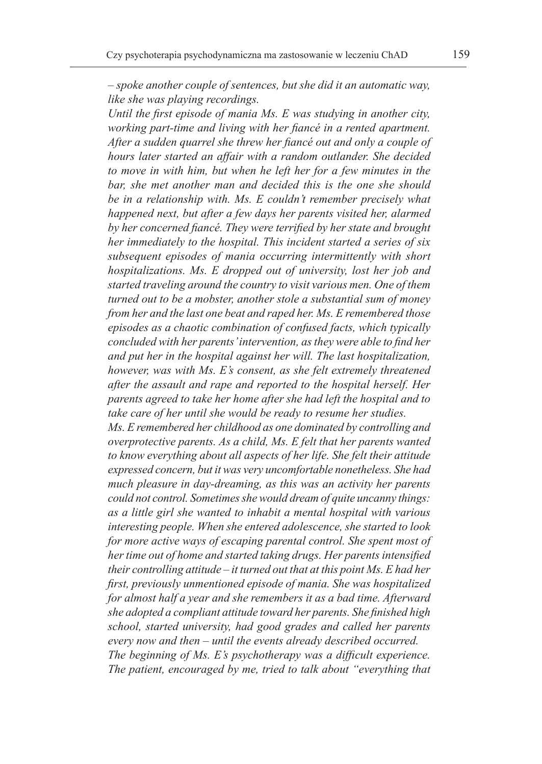*– spoke another couple of sentences, but she did it an automatic way, like she was playing recordings.*

*Until the first episode of mania Ms. E was studying in another city, working part-time and living with her fiancé in a rented apartment. After a sudden quarrel she threw her fiancé out and only a couple of hours later started an affair with a random outlander. She decided to move in with him, but when he left her for a few minutes in the bar, she met another man and decided this is the one she should be in a relationship with. Ms. E couldn't remember precisely what happened next, but after a few days her parents visited her, alarmed by her concerned fiancé. They were terrified by her state and brought her immediately to the hospital. This incident started a series of six subsequent episodes of mania occurring intermittently with short hospitalizations. Ms. E dropped out of university, lost her job and started traveling around the country to visit various men. One of them turned out to be a mobster, another stole a substantial sum of money from her and the last one beat and raped her. Ms. E remembered those episodes as a chaotic combination of confused facts, which typically concluded with her parents' intervention, as they were able to find her and put her in the hospital against her will. The last hospitalization, however, was with Ms. E's consent, as she felt extremely threatened after the assault and rape and reported to the hospital herself. Her parents agreed to take her home after she had left the hospital and to take care of her until she would be ready to resume her studies.*

*Ms. E remembered her childhood as one dominated by controlling and overprotective parents. As a child, Ms. E felt that her parents wanted to know everything about all aspects of her life. She felt their attitude expressed concern, but it was very uncomfortable nonetheless. She had much pleasure in day-dreaming, as this was an activity her parents could not control. Sometimes she would dream of quite uncanny things: as a little girl she wanted to inhabit a mental hospital with various interesting people. When she entered adolescence, she started to look for more active ways of escaping parental control. She spent most of her time out of home and started taking drugs. Her parents intensified their controlling attitude – it turned out that at this point Ms. E had her first, previously unmentioned episode of mania. She was hospitalized for almost half a year and she remembers it as a bad time. Afterward she adopted a compliant attitude toward her parents. She finished high school, started university, had good grades and called her parents every now and then – until the events already described occurred. The beginning of Ms. E's psychotherapy was a difficult experience. The patient, encouraged by me, tried to talk about "everything that*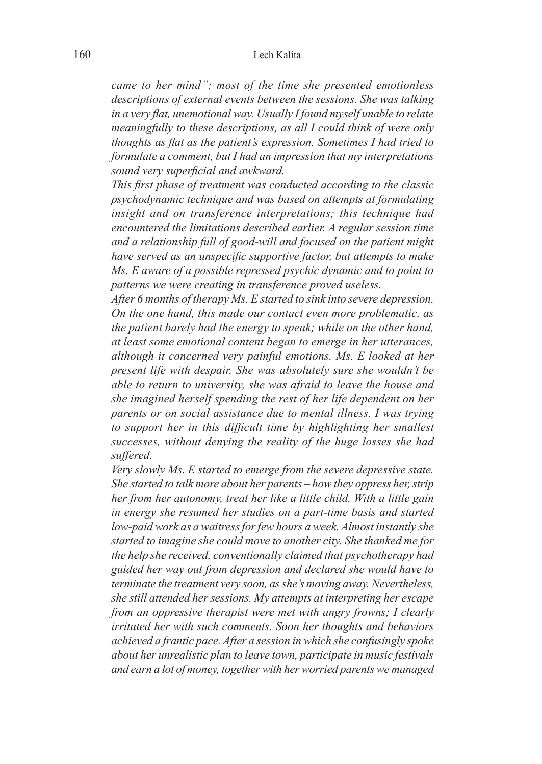*came to her mind"; most of the time she presented emotionless descriptions of external events between the sessions. She was talking in a very flat, unemotional way. Usually I found myself unable to relate meaningfully to these descriptions, as all I could think of were only thoughts as flat as the patient's expression. Sometimes I had tried to formulate a comment, but I had an impression that my interpretations sound very superficial and awkward.*

*This first phase of treatment was conducted according to the classic psychodynamic technique and was based on attempts at formulating insight and on transference interpretations; this technique had encountered the limitations described earlier. A regular session time and a relationship full of good-will and focused on the patient might have served as an unspecific supportive factor, but attempts to make Ms. E aware of a possible repressed psychic dynamic and to point to patterns we were creating in transference proved useless.*

*After 6 months of therapy Ms. E started to sink into severe depression. On the one hand, this made our contact even more problematic, as the patient barely had the energy to speak; while on the other hand, at least some emotional content began to emerge in her utterances, although it concerned very painful emotions. Ms. E looked at her present life with despair. She was absolutely sure she wouldn't be able to return to university, she was afraid to leave the house and she imagined herself spending the rest of her life dependent on her parents or on social assistance due to mental illness. I was trying to support her in this difficult time by highlighting her smallest successes, without denying the reality of the huge losses she had suffered.*

*Very slowly Ms. E started to emerge from the severe depressive state. She started to talk more about her parents – how they oppress her, strip her from her autonomy, treat her like a little child. With a little gain in energy she resumed her studies on a part-time basis and started low-paid work as a waitress for few hours a week. Almost instantly she started to imagine she could move to another city. She thanked me for the help she received, conventionally claimed that psychotherapy had guided her way out from depression and declared she would have to terminate the treatment very soon, as she's moving away. Nevertheless, she still attended her sessions. My attempts at interpreting her escape from an oppressive therapist were met with angry frowns; I clearly irritated her with such comments. Soon her thoughts and behaviors achieved a frantic pace. After a session in which she confusingly spoke about her unrealistic plan to leave town, participate in music festivals and earn a lot of money, together with her worried parents we managed*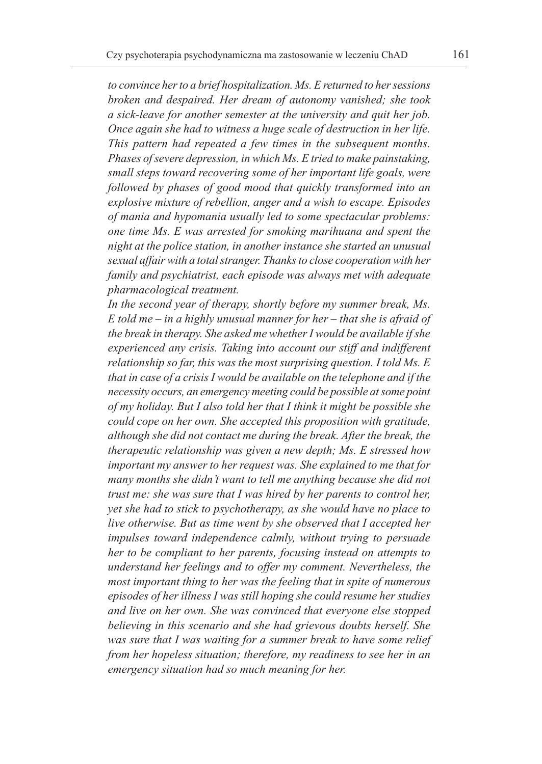*to convince her to a brief hospitalization. Ms. E returned to her sessions broken and despaired. Her dream of autonomy vanished; she took a sick-leave for another semester at the university and quit her job. Once again she had to witness a huge scale of destruction in her life. This pattern had repeated a few times in the subsequent months. Phases of severe depression, in which Ms. E tried to make painstaking, small steps toward recovering some of her important life goals, were followed by phases of good mood that quickly transformed into an explosive mixture of rebellion, anger and a wish to escape. Episodes of mania and hypomania usually led to some spectacular problems: one time Ms. E was arrested for smoking marihuana and spent the night at the police station, in another instance she started an unusual sexual affair with a total stranger. Thanks to close cooperation with her family and psychiatrist, each episode was always met with adequate pharmacological treatment.*

*In the second year of therapy, shortly before my summer break, Ms. E told me – in a highly unusual manner for her – that she is afraid of the break in therapy. She asked me whether I would be available if she experienced any crisis. Taking into account our stiff and indifferent relationship so far, this was the most surprising question. I told Ms. E that in case of a crisis I would be available on the telephone and if the necessity occurs, an emergency meeting could be possible at some point of my holiday. But I also told her that I think it might be possible she could cope on her own. She accepted this proposition with gratitude, although she did not contact me during the break. After the break, the therapeutic relationship was given a new depth; Ms. E stressed how important my answer to her request was. She explained to me that for many months she didn't want to tell me anything because she did not trust me: she was sure that I was hired by her parents to control her, yet she had to stick to psychotherapy, as she would have no place to live otherwise. But as time went by she observed that I accepted her impulses toward independence calmly, without trying to persuade her to be compliant to her parents, focusing instead on attempts to understand her feelings and to offer my comment. Nevertheless, the most important thing to her was the feeling that in spite of numerous episodes of her illness I was still hoping she could resume her studies and live on her own. She was convinced that everyone else stopped believing in this scenario and she had grievous doubts herself. She was sure that I was waiting for a summer break to have some relief from her hopeless situation; therefore, my readiness to see her in an emergency situation had so much meaning for her.*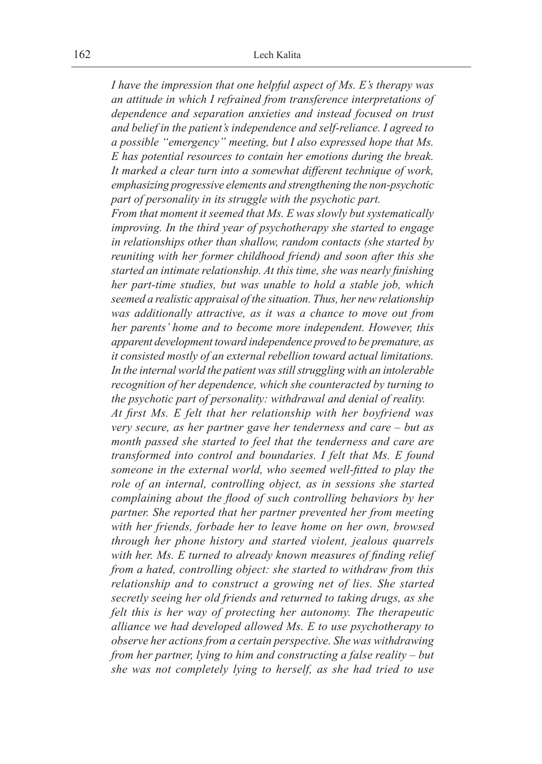*I have the impression that one helpful aspect of Ms. E's therapy was an attitude in which I refrained from transference interpretations of dependence and separation anxieties and instead focused on trust and belief in the patient's independence and self-reliance. I agreed to a possible "emergency" meeting, but I also expressed hope that Ms. E has potential resources to contain her emotions during the break. It marked a clear turn into a somewhat different technique of work, emphasizing progressive elements and strengthening the non-psychotic part of personality in its struggle with the psychotic part.*

*From that moment it seemed that Ms. E was slowly but systematically improving. In the third year of psychotherapy she started to engage in relationships other than shallow, random contacts (she started by reuniting with her former childhood friend) and soon after this she started an intimate relationship. At this time, she was nearly finishing her part-time studies, but was unable to hold a stable job, which seemed a realistic appraisal of the situation. Thus, her new relationship was additionally attractive, as it was a chance to move out from her parents' home and to become more independent. However, this apparent development toward independence proved to be premature, as it consisted mostly of an external rebellion toward actual limitations. In the internal world the patient was still struggling with an intolerable recognition of her dependence, which she counteracted by turning to the psychotic part of personality: withdrawal and denial of reality.*

*At first Ms. E felt that her relationship with her boyfriend was very secure, as her partner gave her tenderness and care – but as month passed she started to feel that the tenderness and care are transformed into control and boundaries. I felt that Ms. E found someone in the external world, who seemed well-fitted to play the role of an internal, controlling object, as in sessions she started complaining about the flood of such controlling behaviors by her partner. She reported that her partner prevented her from meeting with her friends, forbade her to leave home on her own, browsed through her phone history and started violent, jealous quarrels with her. Ms. E turned to already known measures of finding relief from a hated, controlling object: she started to withdraw from this relationship and to construct a growing net of lies. She started secretly seeing her old friends and returned to taking drugs, as she felt this is her way of protecting her autonomy. The therapeutic alliance we had developed allowed Ms. E to use psychotherapy to observe her actions from a certain perspective. She was withdrawing from her partner, lying to him and constructing a false reality – but she was not completely lying to herself, as she had tried to use*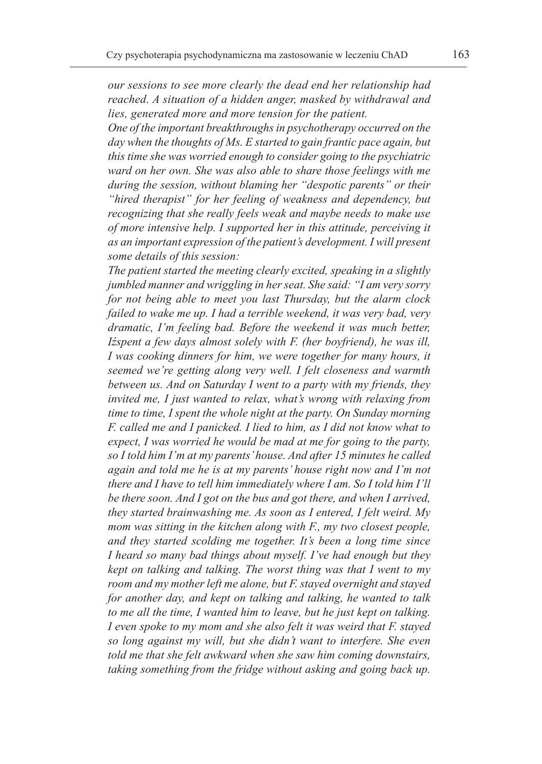*our sessions to see more clearly the dead end her relationship had reached. A situation of a hidden anger, masked by withdrawal and lies, generated more and more tension for the patient.*

*One of the important breakthroughs in psychotherapy occurred on the day when the thoughts of Ms. E started to gain frantic pace again, but this time she was worried enough to consider going to the psychiatric ward on her own. She was also able to share those feelings with me during the session, without blaming her "despotic parents" or their "hired therapist" for her feeling of weakness and dependency, but recognizing that she really feels weak and maybe needs to make use of more intensive help. I supported her in this attitude, perceiving it as an important expression of the patient's development. I will present some details of this session:*

*The patient started the meeting clearly excited, speaking in a slightly jumbled manner and wriggling in her seat. She said: "I am very sorry for not being able to meet you last Thursday, but the alarm clock failed to wake me up. I had a terrible weekend, it was very bad, very dramatic, I'm feeling bad. Before the weekend it was much better, Iźspent a few days almost solely with F. (her boyfriend), he was ill, I was cooking dinners for him, we were together for many hours, it seemed we're getting along very well. I felt closeness and warmth between us. And on Saturday I went to a party with my friends, they invited me, I just wanted to relax, what's wrong with relaxing from time to time, I spent the whole night at the party. On Sunday morning F. called me and I panicked. I lied to him, as I did not know what to expect, I was worried he would be mad at me for going to the party, so I told him I'm at my parents' house. And after 15 minutes he called again and told me he is at my parents' house right now and I'm not there and I have to tell him immediately where I am. So I told him I'll be there soon. And I got on the bus and got there, and when I arrived, they started brainwashing me. As soon as I entered, I felt weird. My mom was sitting in the kitchen along with F., my two closest people, and they started scolding me together. It's been a long time since I heard so many bad things about myself. I've had enough but they kept on talking and talking. The worst thing was that I went to my room and my mother left me alone, but F. stayed overnight and stayed for another day, and kept on talking and talking, he wanted to talk to me all the time, I wanted him to leave, but he just kept on talking. I even spoke to my mom and she also felt it was weird that F. stayed so long against my will, but she didn't want to interfere. She even told me that she felt awkward when she saw him coming downstairs, taking something from the fridge without asking and going back up.*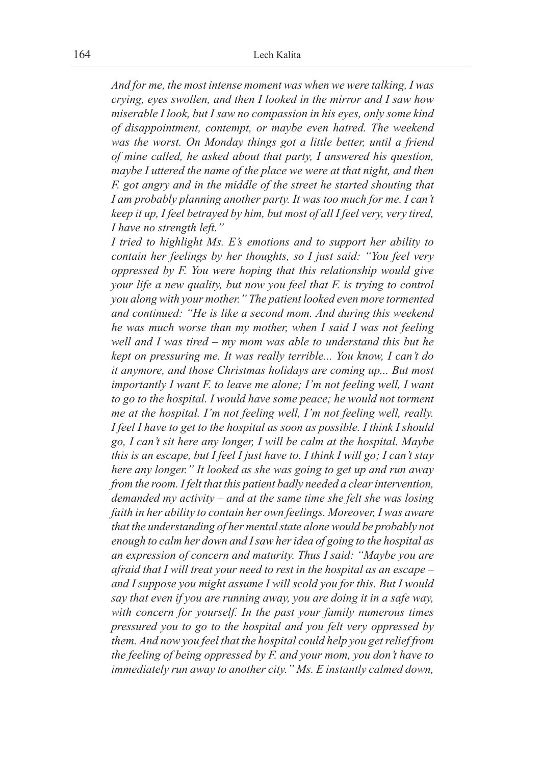*And for me, the most intense moment was when we were talking, I was crying, eyes swollen, and then I looked in the mirror and I saw how miserable I look, but I saw no compassion in his eyes, only some kind of disappointment, contempt, or maybe even hatred. The weekend was the worst. On Monday things got a little better, until a friend of mine called, he asked about that party, I answered his question, maybe I uttered the name of the place we were at that night, and then F. got angry and in the middle of the street he started shouting that I am probably planning another party. It was too much for me. I can't keep it up, I feel betrayed by him, but most of all I feel very, very tired, I have no strength left."*

*I tried to highlight Ms. E's emotions and to support her ability to contain her feelings by her thoughts, so I just said: "You feel very oppressed by F. You were hoping that this relationship would give your life a new quality, but now you feel that F. is trying to control you along with your mother." The patient looked even more tormented and continued: "He is like a second mom. And during this weekend he was much worse than my mother, when I said I was not feeling well and I was tired – my mom was able to understand this but he kept on pressuring me. It was really terrible... You know, I can't do it anymore, and those Christmas holidays are coming up... But most importantly I want F. to leave me alone; I'm not feeling well, I want to go to the hospital. I would have some peace; he would not torment me at the hospital. I'm not feeling well, I'm not feeling well, really. I feel I have to get to the hospital as soon as possible. I think I should go, I can't sit here any longer, I will be calm at the hospital. Maybe this is an escape, but I feel I just have to. I think I will go; I can't stay here any longer." It looked as she was going to get up and run away from the room. I felt that this patient badly needed a clear intervention, demanded my activity – and at the same time she felt she was losing faith in her ability to contain her own feelings. Moreover, I was aware that the understanding of her mental state alone would be probably not enough to calm her down and Isaw her idea of going to the hospital as an expression of concern and maturity. Thus I said: "Maybe you are afraid that I will treat your need to rest in the hospital as an escape – and I suppose you might assume I will scold you for this. But I would say that even if you are running away, you are doing it in a safe way, with concern for yourself. In the past your family numerous times pressured you to go to the hospital and you felt very oppressed by them. And now you feel that the hospital could help you get relief from the feeling of being oppressed by F. and your mom, you don't have to immediately run away to another city." Ms. E instantly calmed down,*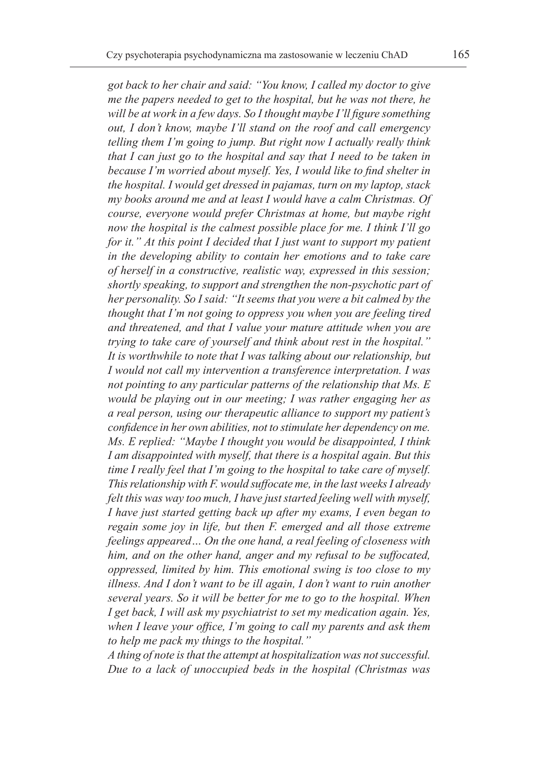*got back to her chair and said: "You know, I called my doctor to give me the papers needed to get to the hospital, but he was not there, he will be at work in a few days. So I thought maybe I'll figure something out, I don't know, maybe I'll stand on the roof and call emergency telling them I'm going to jump. But right now I actually really think that I can just go to the hospital and say that I need to be taken in because I'm worried about myself. Yes, I would like to find shelter in the hospital. I would get dressed in pajamas, turn on my laptop, stack my books around me and at least I would have a calm Christmas. Of course, everyone would prefer Christmas at home, but maybe right now the hospital is the calmest possible place for me. I think I'll go for it." At this point I decided that I just want to support my patient in the developing ability to contain her emotions and to take care of herself in a constructive, realistic way, expressed in this session; shortly speaking, to support and strengthen the non-psychotic part of her personality. So I said: "It seems that you were a bit calmed by the thought that I'm not going to oppress you when you are feeling tired and threatened, and that I value your mature attitude when you are trying to take care of yourself and think about rest in the hospital." It is worthwhile to note that I was talking about our relationship, but I would not call my intervention a transference interpretation. I was not pointing to any particular patterns of the relationship that Ms. E would be playing out in our meeting; I was rather engaging her as a real person, using our therapeutic alliance to support my patient's confidence in her own abilities, not to stimulate her dependency on me. Ms. E replied: "Maybe I thought you would be disappointed, I think I am disappointed with myself, that there is a hospital again. But this time I really feel that I'm going to the hospital to take care of myself. This relationship with F. would suffocate me, in the last weeks I already felt this was way too much, I have just started feeling well with myself, I have just started getting back up after my exams, I even began to regain some joy in life, but then F. emerged and all those extreme feelings appeared… On the one hand, a real feeling of closeness with him, and on the other hand, anger and my refusal to be suffocated, oppressed, limited by him. This emotional swing is too close to my illness. And I don't want to be ill again, I don't want to ruin another several years. So it will be better for me to go to the hospital. When I get back, I will ask my psychiatrist to set my medication again. Yes, when I leave your office, I'm going to call my parents and ask them to help me pack my things to the hospital."*

*A thing of note is that the attempt at hospitalization was not successful. Due to a lack of unoccupied beds in the hospital (Christmas was*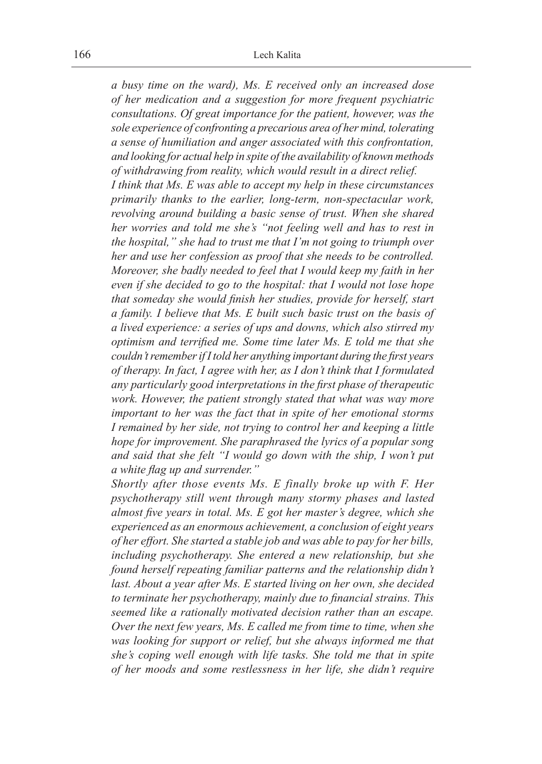*a busy time on the ward), Ms. E received only an increased dose of her medication and a suggestion for more frequent psychiatric consultations. Of great importance for the patient, however, was the sole experience of confronting a precarious area of her mind, tolerating a sense of humiliation and anger associated with this confrontation, and looking for actual help in spite of the availability of known methods of withdrawing from reality, which would result in a direct relief. I think that Ms. E was able to accept my help in these circumstances primarily thanks to the earlier, long-term, non-spectacular work, revolving around building a basic sense of trust. When she shared her worries and told me she's "not feeling well and has to rest in the hospital," she had to trust me that I'm not going to triumph over her and use her confession as proof that she needs to be controlled. Moreover, she badly needed to feel that I would keep my faith in her even if she decided to go to the hospital: that I would not lose hope that someday she would finish her studies, provide for herself, start a family. I believe that Ms. E built such basic trust on the basis of a lived experience: a series of ups and downs, which also stirred my optimism and terrified me. Some time later Ms. E told me that she couldn't remember if Itold her anything important during the first years of therapy. In fact, I agree with her, as I don't think that I formulated any particularly good interpretations in the first phase of therapeutic work. However, the patient strongly stated that what was way more important to her was the fact that in spite of her emotional storms I remained by her side, not trying to control her and keeping a little hope for improvement. She paraphrased the lyrics of a popular song and said that she felt "I would go down with the ship, I won't put a white flag up and surrender."*

*Shortly after those events Ms. E finally broke up with F. Her psychotherapy still went through many stormy phases and lasted almost five years in total. Ms. E got her master's degree, which she experienced as an enormous achievement, a conclusion of eight years of her effort. She started a stable job and was able to pay for her bills, including psychotherapy. She entered a new relationship, but she found herself repeating familiar patterns and the relationship didn't last. About a year after Ms. E started living on her own, she decided to terminate her psychotherapy, mainly due to financial strains. This seemed like a rationally motivated decision rather than an escape. Over the next few years, Ms. E called me from time to time, when she was looking for support or relief, but she always informed me that she's coping well enough with life tasks. She told me that in spite of her moods and some restlessness in her life, she didn't require*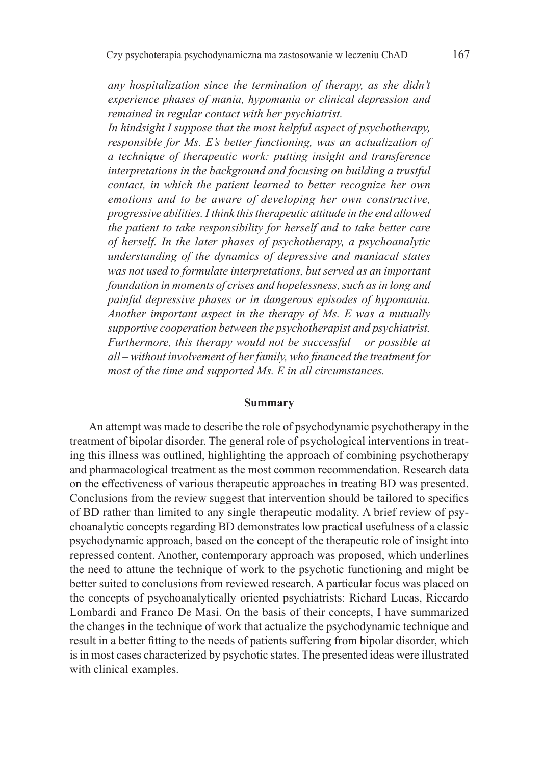*any hospitalization since the termination of therapy, as she didn't experience phases of mania, hypomania or clinical depression and remained in regular contact with her psychiatrist.*

*In hindsight I suppose that the most helpful aspect of psychotherapy, responsible for Ms. E's better functioning, was an actualization of a technique of therapeutic work: putting insight and transference interpretations in the background and focusing on building a trustful contact, in which the patient learned to better recognize her own emotions and to be aware of developing her own constructive, progressive abilities. I think this therapeutic attitude in the end allowed the patient to take responsibility for herself and to take better care of herself. In the later phases of psychotherapy, a psychoanalytic understanding of the dynamics of depressive and maniacal states was not used to formulate interpretations, but served as an important foundation in moments of crises and hopelessness, such as in long and painful depressive phases or in dangerous episodes of hypomania. Another important aspect in the therapy of Ms. E was a mutually supportive cooperation between the psychotherapist and psychiatrist. Furthermore, this therapy would not be successful – or possible at all – without involvement of her family, who financed the treatment for most of the time and supported Ms. E in all circumstances.*

#### **Summary**

An attempt was made to describe the role of psychodynamic psychotherapy in the treatment of bipolar disorder. The general role of psychological interventions in treating this illness was outlined, highlighting the approach of combining psychotherapy and pharmacological treatment as the most common recommendation. Research data on the effectiveness of various therapeutic approaches in treating BD was presented. Conclusions from the review suggest that intervention should be tailored to specifics of BD rather than limited to any single therapeutic modality. A brief review of psychoanalytic concepts regarding BD demonstrates low practical usefulness of a classic psychodynamic approach, based on the concept of the therapeutic role of insight into repressed content. Another, contemporary approach was proposed, which underlines the need to attune the technique of work to the psychotic functioning and might be better suited to conclusions from reviewed research. A particular focus was placed on the concepts of psychoanalytically oriented psychiatrists: Richard Lucas, Riccardo Lombardi and Franco De Masi. On the basis of their concepts, I have summarized the changes in the technique of work that actualize the psychodynamic technique and result in a better fitting to the needs of patients suffering from bipolar disorder, which is in most cases characterized by psychotic states. The presented ideas were illustrated with clinical examples.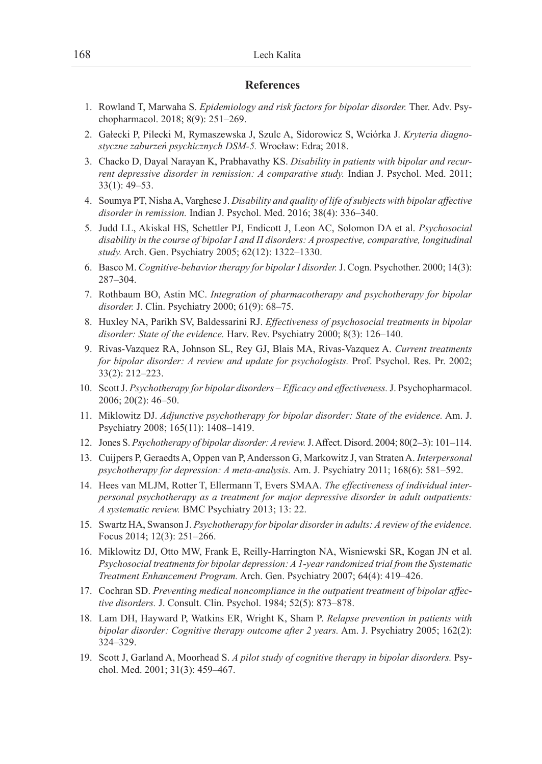#### **References**

- 1. Rowland T, Marwaha S. *Epidemiology and risk factors for bipolar disorder.* Ther. Adv. Psychopharmacol. 2018; 8(9): 251–269.
- 2. Gałecki P, Pilecki M, Rymaszewska J, Szulc A, Sidorowicz S, Wciórka J. *Kryteria diagnostyczne zaburzeń psychicznych DSM-5.* Wrocław: Edra; 2018.
- 3. Chacko D, Dayal Narayan K, Prabhavathy KS. *Disability in patients with bipolar and recurrent depressive disorder in remission: A comparative study.* Indian J. Psychol. Med. 2011; 33(1): 49–53.
- 4. Soumya PT, Nisha A, Varghese J. *Disability and quality of life of subjects with bipolar affective disorder in remission.* Indian J. Psychol. Med. 2016; 38(4): 336–340.
- 5. Judd LL, Akiskal HS, Schettler PJ, Endicott J, Leon AC, Solomon DA et al. *Psychosocial disability in the course of bipolar I and II disorders: A prospective, comparative, longitudinal study.* Arch. Gen. Psychiatry 2005; 62(12): 1322–1330.
- 6. Basco M. *Cognitive-behavior therapy for bipolar I disorder.* J. Cogn. Psychother. 2000; 14(3): 287–304.
- 7. Rothbaum BO, Astin MC. *Integration of pharmacotherapy and psychotherapy for bipolar disorder.* J. Clin. Psychiatry 2000; 61(9): 68–75.
- 8. Huxley NA, Parikh SV, Baldessarini RJ. *Effectiveness of psychosocial treatments in bipolar disorder: State of the evidence.* Harv. Rev. Psychiatry 2000; 8(3): 126–140.
- 9. Rivas-Vazquez RA, Johnson SL, Rey GJ, Blais MA, Rivas-Vazquez A. *Current treatments for bipolar disorder: A review and update for psychologists.* Prof. Psychol. Res. Pr. 2002; 33(2): 212–223.
- 10. Scott J. *Psychotherapy for bipolar disorders Efficacy and effectiveness.* J. Psychopharmacol. 2006; 20(2): 46–50.
- 11. Miklowitz DJ. *Adjunctive psychotherapy for bipolar disorder: State of the evidence.* Am. J. Psychiatry 2008; 165(11): 1408–1419.
- 12. Jones S. *Psychotherapy of bipolar disorder: A review.* J. Affect. Disord. 2004; 80(2–3): 101–114.
- 13. Cuijpers P, Geraedts A, Oppen van P, Andersson G, Markowitz J, van Straten A. *Interpersonal psychotherapy for depression: A meta-analysis.* Am. J. Psychiatry 2011; 168(6): 581–592.
- 14. Hees van MLJM, Rotter T, Ellermann T, Evers SMAA. *The effectiveness of individual interpersonal psychotherapy as a treatment for major depressive disorder in adult outpatients: A systematic review.* BMC Psychiatry 2013; 13: 22.
- 15. Swartz HA, Swanson J. *Psychotherapy for bipolar disorder in adults: A review of the evidence.* Focus 2014; 12(3): 251–266.
- 16. Miklowitz DJ, Otto MW, Frank E, Reilly-Harrington NA, Wisniewski SR, Kogan JN et al. *Psychosocial treatments for bipolar depression: A 1-year randomized trial from the Systematic Treatment Enhancement Program.* Arch. Gen. Psychiatry 2007; 64(4): 419–426.
- 17. Cochran SD. *Preventing medical noncompliance in the outpatient treatment of bipolar affective disorders.* J. Consult. Clin. Psychol. 1984; 52(5): 873–878.
- 18. Lam DH, Hayward P, Watkins ER, Wright K, Sham P. *Relapse prevention in patients with bipolar disorder: Cognitive therapy outcome after 2 years.* Am. J. Psychiatry 2005; 162(2): 324–329.
- 19. Scott J, Garland A, Moorhead S. *A pilot study of cognitive therapy in bipolar disorders.* Psychol. Med. 2001; 31(3): 459–467.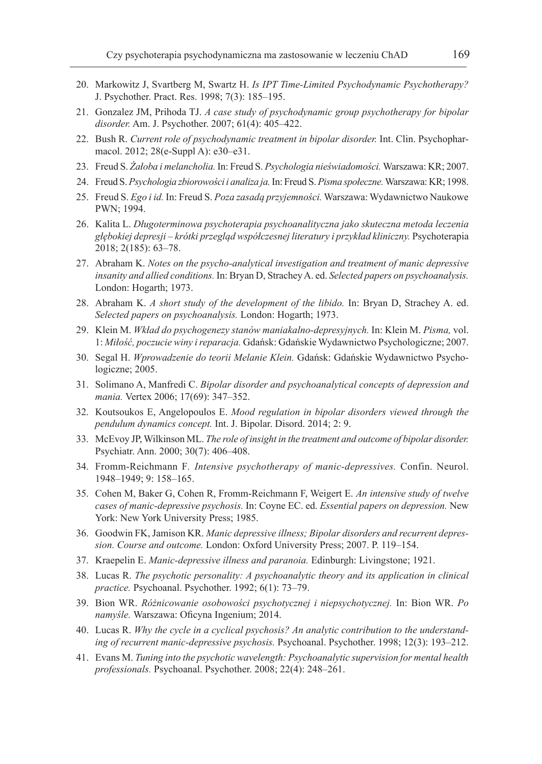- 20. Markowitz J, Svartberg M, Swartz H. *Is IPT Time-Limited Psychodynamic Psychotherapy?* J. Psychother. Pract. Res. 1998; 7(3): 185–195.
- 21. Gonzalez JM, Prihoda TJ. *A case study of psychodynamic group psychotherapy for bipolar disorder.* Am. J. Psychother. 2007; 61(4): 405–422.
- 22. Bush R. *Current role of psychodynamic treatment in bipolar disorder.* Int. Clin. Psychopharmacol. 2012; 28(e-Suppl A): e30–e31.
- 23. Freud S. *Żałoba i melancholia.* In: Freud S. *Psychologia nieświadomości.* Warszawa: KR; 2007.
- 24. Freud S. *Psychologia zbiorowości i analiza ja.* In: Freud S. *Pisma społeczne.* Warszawa: KR; 1998.
- 25. Freud S. *Ego i id.* In: Freud S. *Poza zasadą przyjemności.* Warszawa: Wydawnictwo Naukowe PWN; 1994.
- 26. Kalita L. *Długoterminowa psychoterapia psychoanalityczna jako skuteczna metoda leczenia głębokiej depresji – krótki przegląd współczesnej literatury i przykład kliniczny.* Psychoterapia 2018; 2(185): 63–78.
- 27. Abraham K. *Notes on the psycho-analytical investigation and treatment of manic depressive insanity and allied conditions.* In: Bryan D, Strachey A. ed. *Selected papers on psychoanalysis.* London: Hogarth; 1973.
- 28. Abraham K. *A short study of the development of the libido.* In: Bryan D, Strachey A. ed. *Selected papers on psychoanalysis.* London: Hogarth; 1973.
- 29. Klein M. *Wkład do psychogenezy stanów maniakalno-depresyjnych.* In: Klein M. *Pisma,* vol. 1: *Miłość, poczucie winy ireparacja.* Gdańsk: Gdańskie Wydawnictwo Psychologiczne; 2007.
- 30. Segal H. *Wprowadzenie do teorii Melanie Klein.* Gdańsk: Gdańskie Wydawnictwo Psychologiczne; 2005.
- 31. Solimano A, Manfredi C. *Bipolar disorder and psychoanalytical concepts of depression and mania.* Vertex 2006; 17(69): 347–352.
- 32. Koutsoukos E, Angelopoulos E. *Mood regulation in bipolar disorders viewed through the pendulum dynamics concept.* Int. J. Bipolar. Disord. 2014; 2: 9.
- 33. McEvoy JP, Wilkinson ML. *The role of insight in the treatment and outcome of bipolar disorder.* Psychiatr. Ann. 2000; 30(7): 406–408.
- 34. Fromm-Reichmann F*. Intensive psychotherapy of manic-depressives.* Confin. Neurol. 1948–1949; 9: 158–165.
- 35. Cohen M, Baker G, Cohen R, Fromm-Reichmann F, Weigert E. *An intensive study of twelve cases of manic-depressive psychosis.* In: Coyne EC. ed. *Essential papers on depression.* New York: New York University Press; 1985.
- 36. Goodwin FK, Jamison KR. *Manic depressive illness; Bipolar disorders and recurrent depression. Course and outcome.* London: Oxford University Press; 2007. P. 119–154.
- 37. Kraepelin E. *Manic-depressive illness and paranoia.* Edinburgh: Livingstone; 1921.
- 38. Lucas R. *The psychotic personality: A psychoanalytic theory and its application in clinical practice.* Psychoanal. Psychother. 1992; 6(1): 73–79.
- 39. Bion WR. *Różnicowanie osobowości psychotycznej i niepsychotycznej.* In: Bion WR. *Po namyśle.* Warszawa: Oficyna Ingenium; 2014.
- 40. Lucas R. *Why the cycle in a cyclical psychosis? An analytic contribution to the understanding of recurrent manic-depressive psychosis.* Psychoanal. Psychother. 1998; 12(3): 193–212.
- 41. Evans M. *Tuning into the psychotic wavelength: Psychoanalytic supervision for mental health professionals.* Psychoanal. Psychother. 2008; 22(4): 248–261.